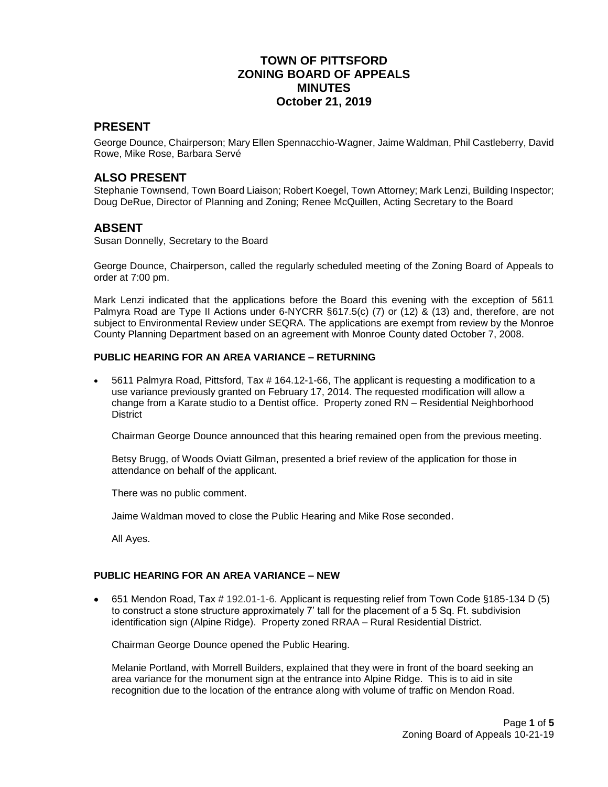## **TOWN OF PITTSFORD ZONING BOARD OF APPEALS MINUTES October 21, 2019**

#### **PRESENT**

George Dounce, Chairperson; Mary Ellen Spennacchio-Wagner, Jaime Waldman, Phil Castleberry, David Rowe, Mike Rose, Barbara Servé

#### **ALSO PRESENT**

Stephanie Townsend, Town Board Liaison; Robert Koegel, Town Attorney; Mark Lenzi, Building Inspector; Doug DeRue, Director of Planning and Zoning; Renee McQuillen, Acting Secretary to the Board

#### **ABSENT**

Susan Donnelly, Secretary to the Board

George Dounce, Chairperson, called the regularly scheduled meeting of the Zoning Board of Appeals to order at 7:00 pm.

Mark Lenzi indicated that the applications before the Board this evening with the exception of 5611 Palmyra Road are Type II Actions under 6-NYCRR §617.5(c) (7) or (12) & (13) and, therefore, are not subject to Environmental Review under SEQRA. The applications are exempt from review by the Monroe County Planning Department based on an agreement with Monroe County dated October 7, 2008.

#### **PUBLIC HEARING FOR AN AREA VARIANCE – RETURNING**

 5611 Palmyra Road, Pittsford, Tax # 164.12-1-66, The applicant is requesting a modification to a use variance previously granted on February 17, 2014. The requested modification will allow a change from a Karate studio to a Dentist office. Property zoned RN – Residential Neighborhood **District** 

Chairman George Dounce announced that this hearing remained open from the previous meeting.

Betsy Brugg, of Woods Oviatt Gilman, presented a brief review of the application for those in attendance on behalf of the applicant.

There was no public comment.

Jaime Waldman moved to close the Public Hearing and Mike Rose seconded.

All Ayes.

#### **PUBLIC HEARING FOR AN AREA VARIANCE – NEW**

 651 Mendon Road, Tax # 192.01-1-6. Applicant is requesting relief from Town Code §185-134 D (5) to construct a stone structure approximately 7' tall for the placement of a 5 Sq. Ft. subdivision identification sign (Alpine Ridge). Property zoned RRAA – Rural Residential District.

Chairman George Dounce opened the Public Hearing.

Melanie Portland, with Morrell Builders, explained that they were in front of the board seeking an area variance for the monument sign at the entrance into Alpine Ridge. This is to aid in site recognition due to the location of the entrance along with volume of traffic on Mendon Road.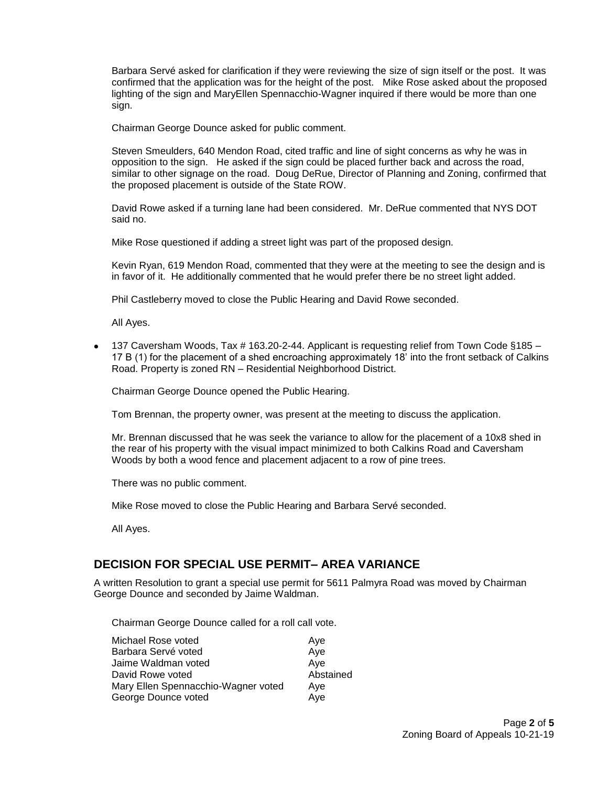Barbara Servé asked for clarification if they were reviewing the size of sign itself or the post. It was confirmed that the application was for the height of the post. Mike Rose asked about the proposed lighting of the sign and MaryEllen Spennacchio-Wagner inquired if there would be more than one sign.

Chairman George Dounce asked for public comment.

Steven Smeulders, 640 Mendon Road, cited traffic and line of sight concerns as why he was in opposition to the sign. He asked if the sign could be placed further back and across the road, similar to other signage on the road. Doug DeRue, Director of Planning and Zoning, confirmed that the proposed placement is outside of the State ROW.

David Rowe asked if a turning lane had been considered. Mr. DeRue commented that NYS DOT said no.

Mike Rose questioned if adding a street light was part of the proposed design.

Kevin Ryan, 619 Mendon Road, commented that they were at the meeting to see the design and is in favor of it. He additionally commented that he would prefer there be no street light added.

Phil Castleberry moved to close the Public Hearing and David Rowe seconded.

All Ayes.

 137 Caversham Woods, Tax # 163.20-2-44. Applicant is requesting relief from Town Code §185 – 17 B (1) for the placement of a shed encroaching approximately 18' into the front setback of Calkins Road. Property is zoned RN – Residential Neighborhood District.

Chairman George Dounce opened the Public Hearing.

Tom Brennan, the property owner, was present at the meeting to discuss the application.

Mr. Brennan discussed that he was seek the variance to allow for the placement of a 10x8 shed in the rear of his property with the visual impact minimized to both Calkins Road and Caversham Woods by both a wood fence and placement adjacent to a row of pine trees.

There was no public comment.

Mike Rose moved to close the Public Hearing and Barbara Servé seconded.

All Ayes.

## **DECISION FOR SPECIAL USE PERMIT– AREA VARIANCE**

A written Resolution to grant a special use permit for 5611 Palmyra Road was moved by Chairman George Dounce and seconded by Jaime Waldman.

Chairman George Dounce called for a roll call vote.

| Michael Rose voted                  | Ave       |
|-------------------------------------|-----------|
| Barbara Servé voted                 | Aye       |
| Jaime Waldman voted                 | Ave       |
| David Rowe voted                    | Abstained |
| Mary Ellen Spennacchio-Wagner voted | Aye       |
| George Dounce voted                 | Aye       |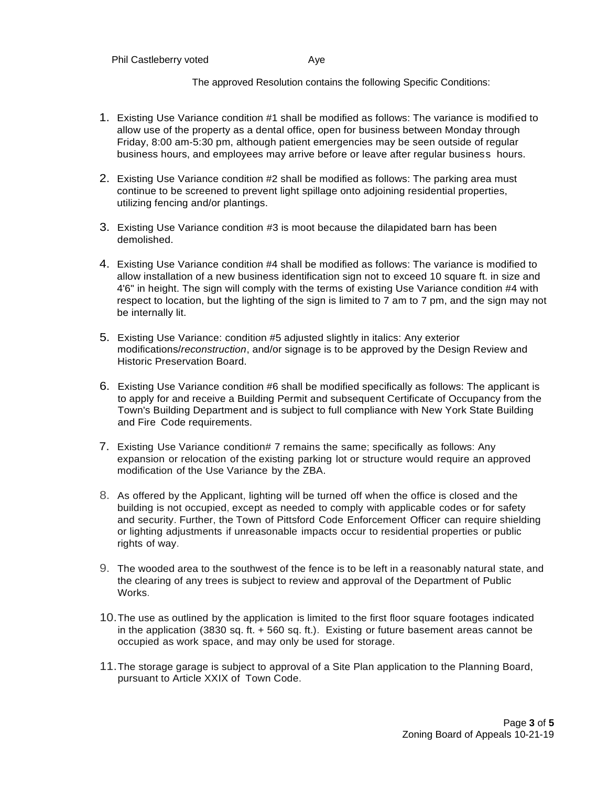The approved Resolution contains the following Specific Conditions:

- 1. Existing Use Variance condition #1 shall be modified as follows: The variance is modified to allow use of the property as a dental office, open for business between Monday through Friday, 8:00 am-5:30 pm, although patient emergencies may be seen outside of regular business hours, and employees may arrive before or leave after regular business hours.
- 2. Existing Use Variance condition #2 shall be modified as follows: The parking area must continue to be screened to prevent light spillage onto adjoining residential properties, utilizing fencing and/or plantings.
- 3. Existing Use Variance condition #3 is moot because the dilapidated barn has been demolished.
- 4. Existing Use Variance condition #4 shall be modified as follows: The variance is modified to allow installation of a new business identification sign not to exceed 10 square ft. in size and 4'6" in height. The sign will comply with the terms of existing Use Variance condition #4 with respect to location, but the lighting of the sign is limited to 7 am to 7 pm, and the sign may not be internally lit.
- 5. Existing Use Variance: condition #5 adjusted slightly in italics: Any exterior modifications/*reconstruction*, and/or signage is to be approved by the Design Review and Historic Preservation Board.
- 6. Existing Use Variance condition #6 shall be modified specifically as follows: The applicant is to apply for and receive a Building Permit and subsequent Certificate of Occupancy from the Town's Building Department and is subject to full compliance with New York State Building and Fire Code requirements.
- 7. Existing Use Variance condition# 7 remains the same; specifically as follows: Any expansion or relocation of the existing parking lot or structure would require an approved modification of the Use Variance by the ZBA.
- 8. As offered by the Applicant, lighting will be turned off when the office is closed and the building is not occupied, except as needed to comply with applicable codes or for safety and security. Further, the Town of Pittsford Code Enforcement Officer can require shielding or lighting adjustments if unreasonable impacts occur to residential properties or public rights of way.
- 9. The wooded area to the southwest of the fence is to be left in a reasonably natural state, and the clearing of any trees is subject to review and approval of the Department of Public Works.
- 10.The use as outlined by the application is limited to the first floor square footages indicated in the application (3830 sq. ft. + 560 sq. ft.). Existing or future basement areas cannot be occupied as work space, and may only be used for storage.
- 11.The storage garage is subject to approval of a Site Plan application to the Planning Board, pursuant to Article XXIX of Town Code.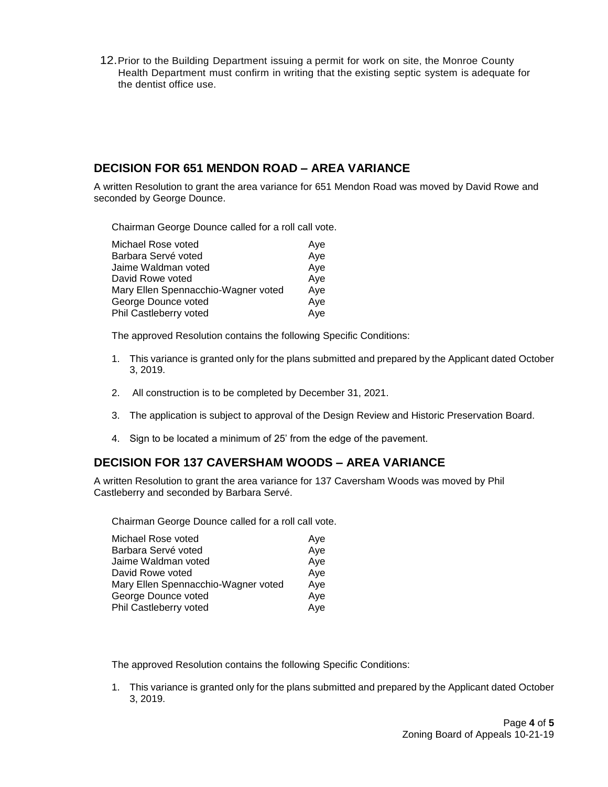12.Prior to the Building Department issuing a permit for work on site, the Monroe County Health Department must confirm in writing that the existing septic system is adequate for the dentist office use.

#### **DECISION FOR 651 MENDON ROAD – AREA VARIANCE**

A written Resolution to grant the area variance for 651 Mendon Road was moved by David Rowe and seconded by George Dounce.

Chairman George Dounce called for a roll call vote.

| Michael Rose voted                  | Ave |
|-------------------------------------|-----|
| Barbara Servé voted                 | Aye |
| Jaime Waldman voted                 | Aye |
| David Rowe voted                    | Aye |
| Mary Ellen Spennacchio-Wagner voted | Aye |
| George Dounce voted                 | Aye |
| Phil Castleberry voted              | Aye |

The approved Resolution contains the following Specific Conditions:

- 1. This variance is granted only for the plans submitted and prepared by the Applicant dated October 3, 2019.
- 2. All construction is to be completed by December 31, 2021.
- 3. The application is subject to approval of the Design Review and Historic Preservation Board.
- 4. Sign to be located a minimum of 25' from the edge of the pavement.

## **DECISION FOR 137 CAVERSHAM WOODS – AREA VARIANCE**

A written Resolution to grant the area variance for 137 Caversham Woods was moved by Phil Castleberry and seconded by Barbara Servé.

Chairman George Dounce called for a roll call vote.

| Michael Rose voted                  | Aye |
|-------------------------------------|-----|
| Barbara Servé voted                 | Aye |
| Jaime Waldman voted                 | Aye |
| David Rowe voted                    | Aye |
| Mary Ellen Spennacchio-Wagner voted | Aye |
| George Dounce voted                 | Aye |
| Phil Castleberry voted              | Aye |

The approved Resolution contains the following Specific Conditions:

1. This variance is granted only for the plans submitted and prepared by the Applicant dated October 3, 2019.